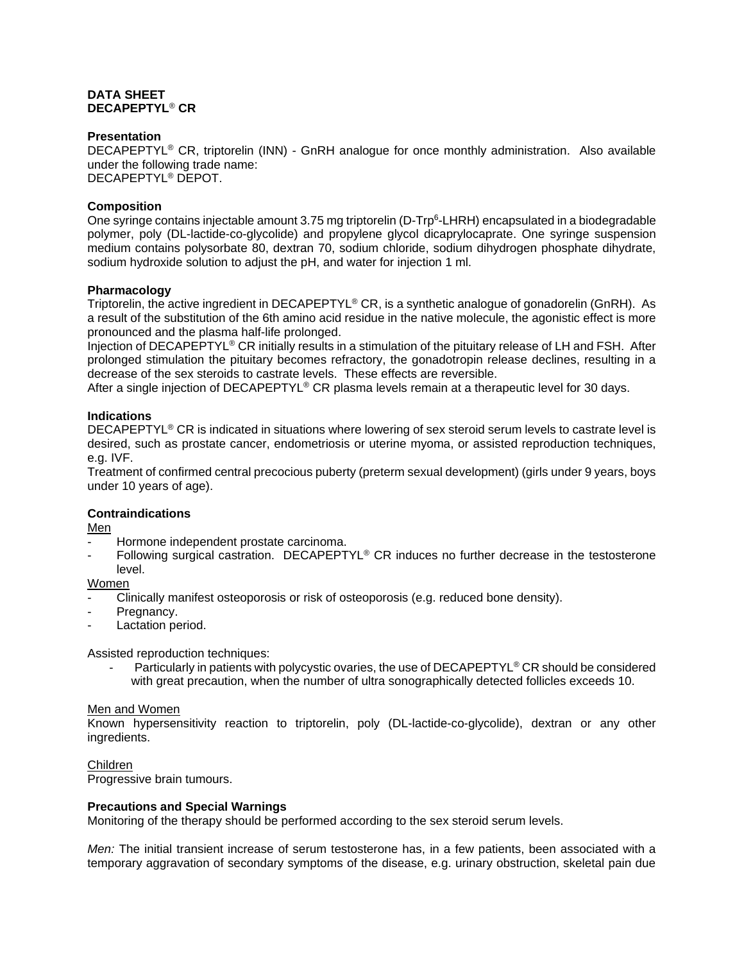#### **DATA SHEET DECAPEPTYL**® **CR**

#### **Presentation**

DECAPEPTYL® CR, triptorelin (INN) - GnRH analogue for once monthly administration. Also available under the following trade name: DECAPEPTYL® DEPOT.

#### **Composition**

One syringe contains injectable amount 3.75 mg triptorelin (D-Trp<sup>6</sup>-LHRH) encapsulated in a biodegradable polymer, poly (DL-lactide-co-glycolide) and propylene glycol dicaprylocaprate. One syringe suspension medium contains polysorbate 80, dextran 70, sodium chloride, sodium dihydrogen phosphate dihydrate, sodium hydroxide solution to adjust the pH, and water for injection 1 ml.

### **Pharmacology**

Triptorelin, the active ingredient in DECAPEPTYL® CR, is a synthetic analogue of gonadorelin (GnRH). As a result of the substitution of the 6th amino acid residue in the native molecule, the agonistic effect is more pronounced and the plasma half-life prolonged.

Injection of DECAPEPTYL® CR initially results in a stimulation of the pituitary release of LH and FSH. After prolonged stimulation the pituitary becomes refractory, the gonadotropin release declines, resulting in a decrease of the sex steroids to castrate levels. These effects are reversible.

After a single injection of DECAPEPTYL<sup>®</sup> CR plasma levels remain at a therapeutic level for 30 days.

### **Indications**

DECAPEPTYL® CR is indicated in situations where lowering of sex steroid serum levels to castrate level is desired, such as prostate cancer, endometriosis or uterine myoma, or assisted reproduction techniques, e.g. IVF.

Treatment of confirmed central precocious puberty (preterm sexual development) (girls under 9 years, boys under 10 years of age).

#### **Contraindications**

Men

- Hormone independent prostate carcinoma.
- Following surgical castration. DECAPEPTYL<sup>®</sup> CR induces no further decrease in the testosterone level.

Women

- Clinically manifest osteoporosis or risk of osteoporosis (e.g. reduced bone density).
- Pregnancy.
- Lactation period.

Assisted reproduction techniques:

Particularly in patients with polycystic ovaries, the use of DECAPEPTYL<sup>®</sup> CR should be considered with great precaution, when the number of ultra sonographically detected follicles exceeds 10.

#### Men and Women

Known hypersensitivity reaction to triptorelin, poly (DL-lactide-co-glycolide), dextran or any other ingredients.

#### Children

Progressive brain tumours.

#### **Precautions and Special Warnings**

Monitoring of the therapy should be performed according to the sex steroid serum levels.

*Men:* The initial transient increase of serum testosterone has, in a few patients, been associated with a temporary aggravation of secondary symptoms of the disease, e.g. urinary obstruction, skeletal pain due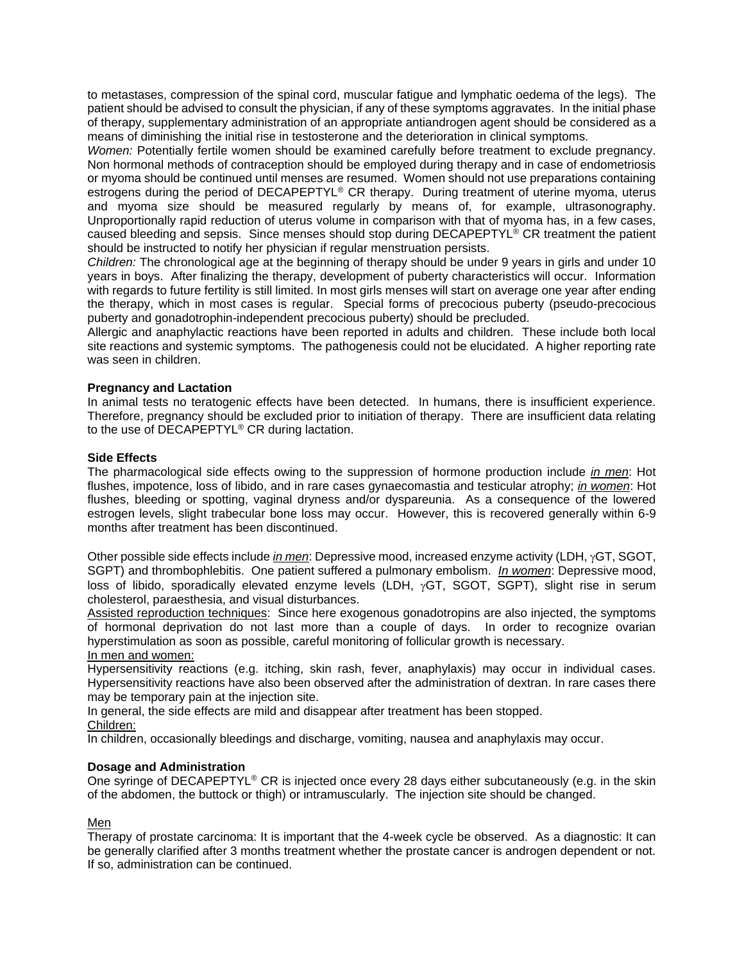to metastases, compression of the spinal cord, muscular fatigue and lymphatic oedema of the legs). The patient should be advised to consult the physician, if any of these symptoms aggravates. In the initial phase of therapy, supplementary administration of an appropriate antiandrogen agent should be considered as a means of diminishing the initial rise in testosterone and the deterioration in clinical symptoms.

*Women:* Potentially fertile women should be examined carefully before treatment to exclude pregnancy. Non hormonal methods of contraception should be employed during therapy and in case of endometriosis or myoma should be continued until menses are resumed. Women should not use preparations containing estrogens during the period of DECAPEPTYL® CR therapy. During treatment of uterine myoma, uterus and myoma size should be measured regularly by means of, for example, ultrasonography. Unproportionally rapid reduction of uterus volume in comparison with that of myoma has, in a few cases, caused bleeding and sepsis. Since menses should stop during DECAPEPTYL® CR treatment the patient should be instructed to notify her physician if regular menstruation persists.

*Children:* The chronological age at the beginning of therapy should be under 9 years in girls and under 10 years in boys. After finalizing the therapy, development of puberty characteristics will occur. Information with regards to future fertility is still limited. In most girls menses will start on average one year after ending the therapy, which in most cases is regular. Special forms of precocious puberty (pseudo-precocious puberty and gonadotrophin-independent precocious puberty) should be precluded.

Allergic and anaphylactic reactions have been reported in adults and children. These include both local site reactions and systemic symptoms. The pathogenesis could not be elucidated. A higher reporting rate was seen in children.

### **Pregnancy and Lactation**

In animal tests no teratogenic effects have been detected. In humans, there is insufficient experience. Therefore, pregnancy should be excluded prior to initiation of therapy. There are insufficient data relating to the use of DECAPEPTYL® CR during lactation.

#### **Side Effects**

The pharmacological side effects owing to the suppression of hormone production include *in men*: Hot flushes, impotence, loss of libido, and in rare cases gynaecomastia and testicular atrophy; *in women*: Hot flushes, bleeding or spotting, vaginal dryness and/or dyspareunia. As a consequence of the lowered estrogen levels, slight trabecular bone loss may occur. However, this is recovered generally within 6-9 months after treatment has been discontinued.

Other possible side effects include *in men*: Depressive mood, increased enzyme activity (LDH,  $\gamma$ GT, SGOT, SGPT) and thrombophlebitis. One patient suffered a pulmonary embolism. *In women*: Depressive mood, loss of libido, sporadically elevated enzyme levels (LDH,  $\gamma$ GT, SGOT, SGPT), slight rise in serum cholesterol, paraesthesia, and visual disturbances.

Assisted reproduction techniques: Since here exogenous gonadotropins are also injected, the symptoms of hormonal deprivation do not last more than a couple of days. In order to recognize ovarian hyperstimulation as soon as possible, careful monitoring of follicular growth is necessary. In men and women:

Hypersensitivity reactions (e.g. itching, skin rash, fever, anaphylaxis) may occur in individual cases. Hypersensitivity reactions have also been observed after the administration of dextran. In rare cases there may be temporary pain at the injection site.

In general, the side effects are mild and disappear after treatment has been stopped.

Children:

In children, occasionally bleedings and discharge, vomiting, nausea and anaphylaxis may occur.

#### **Dosage and Administration**

One syringe of DECAPEPTYL<sup>®</sup> CR is injected once every 28 days either subcutaneously (e.g. in the skin of the abdomen, the buttock or thigh) or intramuscularly. The injection site should be changed.

#### Men

Therapy of prostate carcinoma: It is important that the 4-week cycle be observed. As a diagnostic: It can be generally clarified after 3 months treatment whether the prostate cancer is androgen dependent or not. If so, administration can be continued.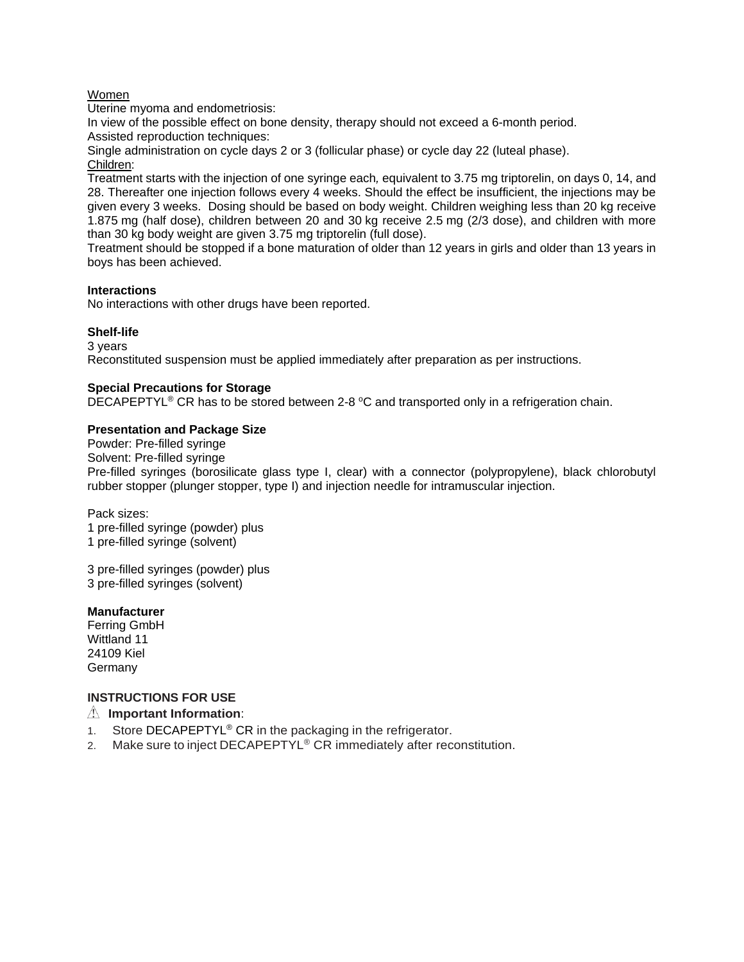#### Women

Uterine myoma and endometriosis:

In view of the possible effect on bone density, therapy should not exceed a 6-month period. Assisted reproduction techniques:

Single administration on cycle days 2 or 3 (follicular phase) or cycle day 22 (luteal phase). Children:

Treatment starts with the injection of one syringe each*,* equivalent to 3.75 mg triptorelin, on days 0, 14, and 28. Thereafter one injection follows every 4 weeks. Should the effect be insufficient, the injections may be given every 3 weeks. Dosing should be based on body weight. Children weighing less than 20 kg receive 1.875 mg (half dose), children between 20 and 30 kg receive 2.5 mg (2/3 dose), and children with more than 30 kg body weight are given 3.75 mg triptorelin (full dose).

Treatment should be stopped if a bone maturation of older than 12 years in girls and older than 13 years in boys has been achieved.

#### **Interactions**

No interactions with other drugs have been reported.

#### **Shelf-life**

3 years Reconstituted suspension must be applied immediately after preparation as per instructions.

#### **Special Precautions for Storage**

DECAPEPTYL<sup>®</sup> CR has to be stored between 2-8  $^{\circ}$ C and transported only in a refrigeration chain.

#### **Presentation and Package Size**

Powder: Pre-filled syringe Solvent: Pre-filled syringe Pre-filled syringes (borosilicate glass type I, clear) with a connector (polypropylene), black chlorobutyl rubber stopper (plunger stopper, type I) and injection needle for intramuscular injection.

Pack sizes: 1 pre-filled syringe (powder) plus 1 pre-filled syringe (solvent)

3 pre-filled syringes (powder) plus 3 pre-filled syringes (solvent)

#### **Manufacturer**

Ferring GmbH Wittland 11 24109 Kiel **Germany** 

### **INSTRUCTIONS FOR USE**

#### **Important Information**:

- 1. Store DECAPEPTYL<sup>®</sup> CR in the packaging in the refrigerator.
- 2. Make sure to inject DECAPEPTYL<sup>®</sup> CR immediately after reconstitution.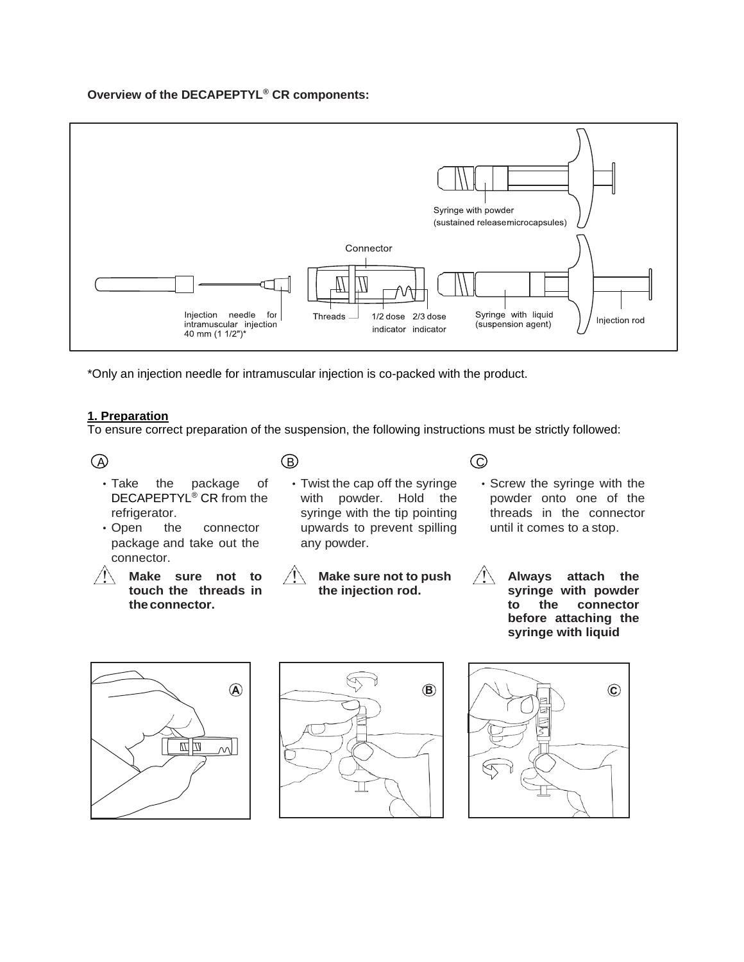## **Overview of the DECAPEPTYL® CR components:**



\*Only an injection needle for intramuscular injection is co-packed with the product.

## **1. Preparation**

To ensure correct preparation of the suspension, the following instructions must be strictly followed:

 $\mathbf{A}$   $\mathbf{B}$   $\mathbf{C}$ 

- Take the package of DECAPEPTYL® CR from the refrigerator.
- Open the connector package and take out the connector.
- **Make sure not to touch the threads in theconnector.**
- Twist the cap off the syringe with powder. Hold the syringe with the tip pointing upwards to prevent spilling any powder.
- **Make sure not to push the injection rod.**
- Screw the syringe with the powder onto one of the threads in the connector until it comes to a stop.
- **Always attach the syringe with powder to the connector before attaching the syringe with liquid**





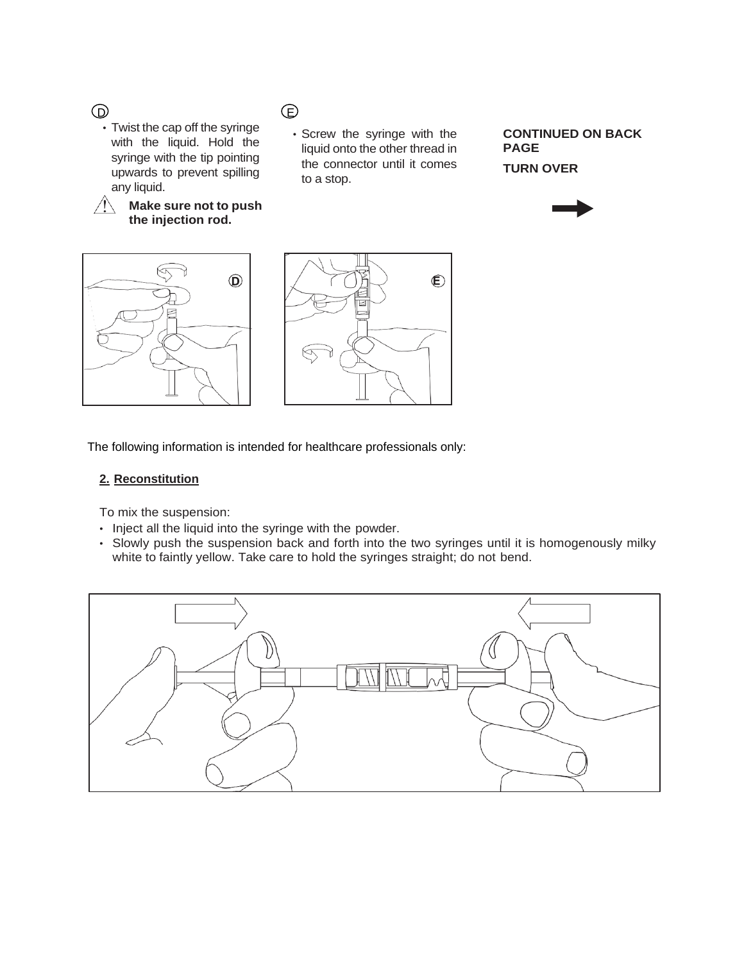D E

• Twist the cap off the syringe with the liquid. Hold the syringe with the tip pointing upwards to prevent spilling any liquid.

**Make sure not to push the injection rod.**

• Screw the syringe with the liquid onto the other thread in the connector until it comes to a stop.

**CONTINUED ON BACK PAGE TURN OVER**







The following information is intended for healthcare professionals only:

### **2. Reconstitution**

To mix the suspension:

- Inject all the liquid into the syringe with the powder.
- Slowly push the suspension back and forth into the two syringes until it is homogenously milky white to faintly yellow. Take care to hold the syringes straight; do not bend.